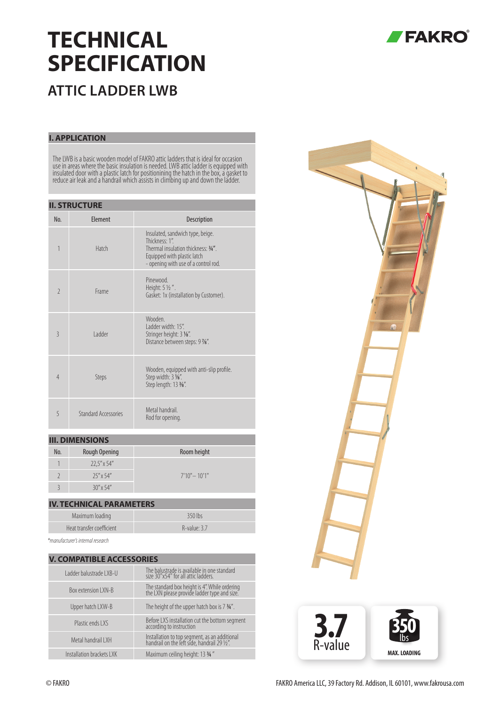# **TECHNICAL SPECIFICATION**



## **ATTIC LADDER LWB**

#### **I. APPLICATION**

The LWB is a basic wooden model of FAKRO attic ladders that is ideal for occasion use in areas where the basic insulation is needed. LWB attic ladder is equipped with insulated door with a plastic latch for positionining the hatch in the box, a gasket to reduce air leak and a handrail which assists in climbing up and down the ladder.

| <b>II. STRUCTURE</b>     |                             |                                                                                                                                                                 |  |  |  |  |
|--------------------------|-----------------------------|-----------------------------------------------------------------------------------------------------------------------------------------------------------------|--|--|--|--|
| No.                      | <b>Flement</b>              | <b>Description</b>                                                                                                                                              |  |  |  |  |
| 1                        | Hatch                       | Insulated, sandwich type, beige.<br>Thickness: 1"<br>Thermal insulation thickness: 3/4".<br>Equipped with plastic latch<br>- opening with use of a control rod. |  |  |  |  |
| $\overline{\phantom{a}}$ | Frame                       | Pinewood<br>Height: 5 1/2".<br>Gasket: 1x (installation by Customer).                                                                                           |  |  |  |  |
| $\overline{3}$           | I adder                     | Wooden<br>I adder width: 15".<br>Stringer height: 3 %".<br>Distance between steps: 9 %".                                                                        |  |  |  |  |
| $\overline{4}$           | Steps                       | Wooden, equipped with anti-slip profile.<br>Step width: 3 1/8".<br>Step length: 13 3/8".                                                                        |  |  |  |  |
| 5                        | <b>Standard Accessories</b> | Metal handrail<br>Rod for opening.                                                                                                                              |  |  |  |  |

#### **III. DIMENSIONS**

| No. | Rough Opening        | Room height     |
|-----|----------------------|-----------------|
|     | $22.5'' \times 54''$ |                 |
|     | $25'' \times 54''$   | $7'10" - 10'1"$ |
|     | $30''$ x 54"         |                 |

### **IV. TECHNICAL PARAMETERS** Maximum loading and a state of the 350 lbs Heat transfer coefficient **R-value: 3.7**

*\*manufacturer's internal research*

|  | <b>V. COMPATIBLE ACCESSORIES</b> |                                                                                               |  |  |  |  |  |
|--|----------------------------------|-----------------------------------------------------------------------------------------------|--|--|--|--|--|
|  | Ladder balustrade LXB-U          | The balustrade is available in one standard<br>size 30"x54" for all attic ladders.            |  |  |  |  |  |
|  | Box extension LXN-B              | The standard box height is 4". While ordering<br>the LXN please provide ladder type and size. |  |  |  |  |  |
|  | Upper hatch LXW-B                | The height of the upper hatch box is 7 3/4".                                                  |  |  |  |  |  |
|  | Plastic ends LXS                 | Before LXS installation cut the bottom segment<br>according to instruction                    |  |  |  |  |  |
|  | Metal handrail I XH              | Installation to top segment, as an additional<br>handrail on the left side, handrail 29 1/2". |  |  |  |  |  |
|  | Installation brackets LXK        | Maximum ceiling height: 13 3/4"                                                               |  |  |  |  |  |